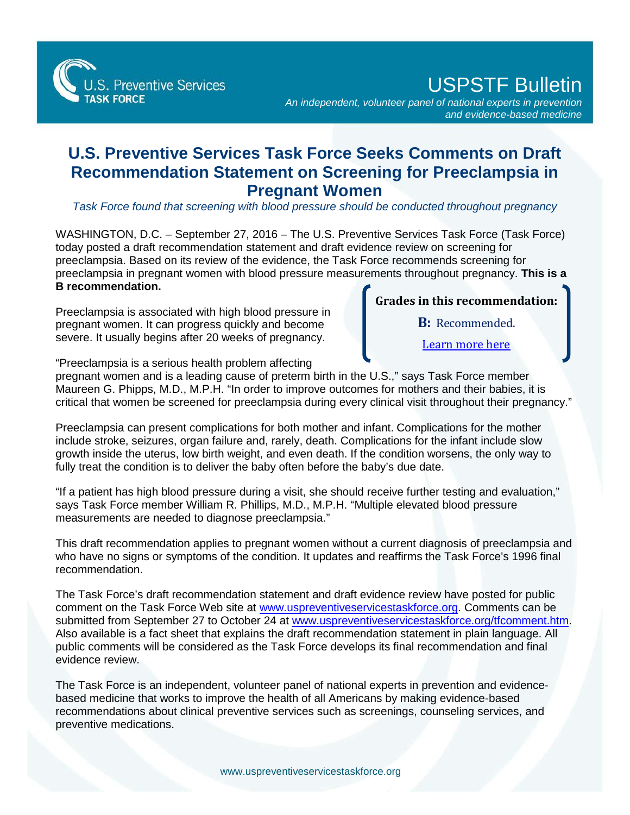S. Preventive Services

USPSTF Bulletin

*An independent, volunteer panel of national experts in prevention and evidence-based medicine*

## **U.S. Preventive Services Task Force Seeks Comments on Draft Recommendation Statement on Screening for Preeclampsia in Pregnant Women**

*Task Force found that screening with blood pressure should be conducted throughout pregnancy*

WASHINGTON, D.C. – September 27, 2016 – The U.S. Preventive Services Task Force (Task Force) today posted a draft recommendation statement and draft evidence review on screening for preeclampsia. Based on its review of the evidence, the Task Force recommends screening for preeclampsia in pregnant women with blood pressure measurements throughout pregnancy. **This is a B recommendation.** 

Preeclampsia is associated with high blood pressure in pregnant women. It can progress quickly and become severe. It usually begins after 20 weeks of pregnancy.

**Grades in this recommendation:**

**B:** Recommended.

[Learn more here](http://www.uspreventiveservicestaskforce.org/Page/Name/grade-definitions)

"Preeclampsia is a serious health problem affecting

pregnant women and is a leading cause of preterm birth in the U.S.," says Task Force member Maureen G. Phipps, M.D., M.P.H. "In order to improve outcomes for mothers and their babies, it is critical that women be screened for preeclampsia during every clinical visit throughout their pregnancy."

Preeclampsia can present complications for both mother and infant. Complications for the mother include stroke, seizures, organ failure and, rarely, death. Complications for the infant include slow growth inside the uterus, low birth weight, and even death. If the condition worsens, the only way to fully treat the condition is to deliver the baby often before the baby's due date.

"If a patient has high blood pressure during a visit, she should receive further testing and evaluation," says Task Force member William R. Phillips, M.D., M.P.H. "Multiple elevated blood pressure measurements are needed to diagnose preeclampsia."

This draft recommendation applies to pregnant women without a current diagnosis of preeclampsia and who have no signs or symptoms of the condition. It updates and reaffirms the Task Force's 1996 final recommendation.

The Task Force's draft recommendation statement and draft evidence review have posted for public comment on the Task Force Web site at [www.uspreventiveservicestaskforce.org.](http://www.uspreventiveservicestaskforce.org/) Comments can be submitted from September 27 to October 24 at [www.uspreventiveservicestaskforce.org/tfcomment.htm.](http://www.uspreventiveservicestaskforce.org/tfcomment.htm) Also available is a fact sheet that explains the draft recommendation statement in plain language. All public comments will be considered as the Task Force develops its final recommendation and final evidence review.

The Task Force is an independent, volunteer panel of national experts in prevention and evidencebased medicine that works to improve the health of all Americans by making evidence-based recommendations about clinical preventive services such as screenings, counseling services, and preventive medications.